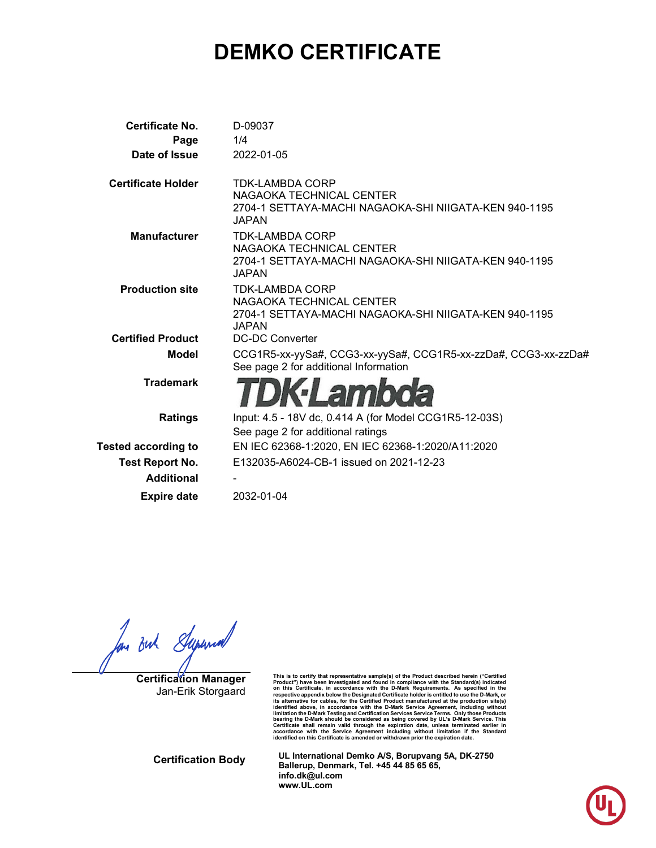# **DEMKO CERTIFICATE**

| Certificate No.            | D-09037                                                                                                                     |
|----------------------------|-----------------------------------------------------------------------------------------------------------------------------|
| Page                       | 1/4                                                                                                                         |
| Date of Issue              | 2022-01-05                                                                                                                  |
| <b>Certificate Holder</b>  | <b>TDK-LAMBDA CORP</b><br>NAGAOKA TECHNICAL CENTER<br>2704-1 SETTAYA-MACHI NAGAOKA-SHI NIIGATA-KEN 940-1195<br><b>JAPAN</b> |
| <b>Manufacturer</b>        | <b>TDK-LAMBDA CORP</b><br>NAGAOKA TECHNICAL CENTER<br>2704-1 SETTAYA-MACHI NAGAOKA-SHI NIIGATA-KEN 940-1195<br>JAPAN        |
| <b>Production site</b>     | TDK-LAMBDA CORP<br>NAGAOKA TECHNICAL CENTER<br>2704-1 SETTAYA-MACHI NAGAOKA-SHI NIIGATA-KEN 940-1195<br>JAPAN               |
| <b>Certified Product</b>   | DC-DC Converter                                                                                                             |
| <b>Model</b>               | CCG1R5-xx-yySa#, CCG3-xx-yySa#, CCG1R5-xx-zzDa#, CCG3-xx-zzDa#<br>See page 2 for additional Information                     |
| <b>Trademark</b>           | <b>:Lambola</b>                                                                                                             |
| <b>Ratings</b>             | Input: 4.5 - 18V dc, 0.414 A (for Model CCG1R5-12-03S)                                                                      |
|                            | See page 2 for additional ratings                                                                                           |
| <b>Tested according to</b> | EN IEC 62368-1:2020, EN IEC 62368-1:2020/A11:2020                                                                           |
| <b>Test Report No.</b>     | E132035-A6024-CB-1 issued on 2021-12-23                                                                                     |
| <b>Additional</b>          |                                                                                                                             |
| <b>Expire date</b>         | 2032-01-04                                                                                                                  |
|                            |                                                                                                                             |

for out Superior

**Certification Manager** Jan-Erik Storgaard

This is to certify that representative sample(s) of the Product described herein ("Certified<br>Product") have been investigated and found in compliance with the Standard(s) indicated<br>on this Certificate, in accordance with t respective appendix below the Designated Certificate holder is entitled to use the D-Mark, or<br>its alternative for cables, for the Certified Product manufactured at the production stie(s)<br>identified above, in accordance wit

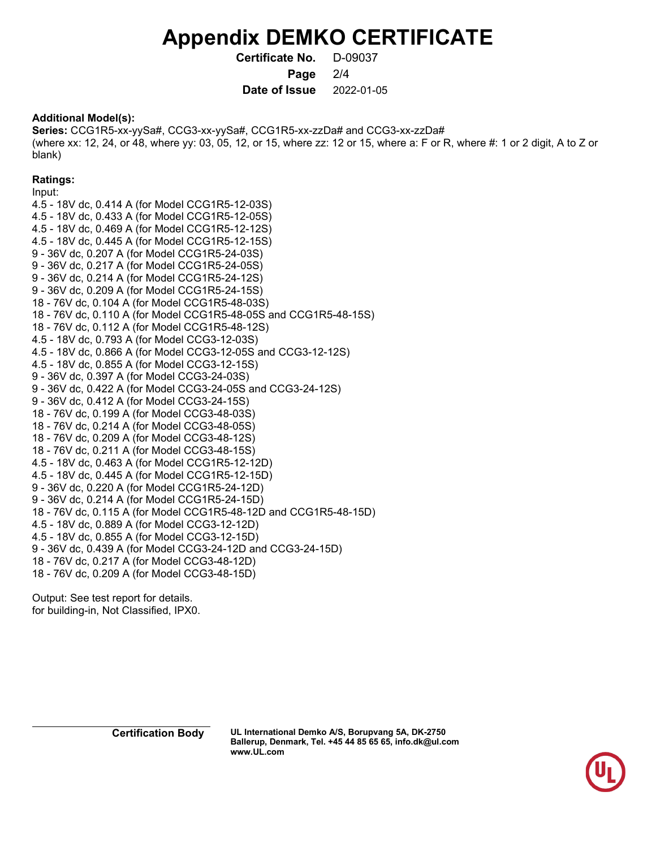## **Appendix DEMKO CERTIFICATE**

**Certificate No.** D-09037

**Page** 2/4

**Date of Issue** 2022-01-05

### **Additional Model(s):**

**Series:** CCG1R5-xx-yySa#, CCG3-xx-yySa#, CCG1R5-xx-zzDa# and CCG3-xx-zzDa# (where xx: 12, 24, or 48, where yy: 03, 05, 12, or 15, where zz: 12 or 15, where a: F or R, where #: 1 or 2 digit, A to Z or blank)

### **Ratings:**

Input: 4.5 - 18V dc, 0.414 A (for Model CCG1R5-12-03S) 4.5 - 18V dc, 0.433 A (for Model CCG1R5-12-05S) 4.5 - 18V dc, 0.469 A (for Model CCG1R5-12-12S) 4.5 - 18V dc, 0.445 A (for Model CCG1R5-12-15S) 9 - 36V dc, 0.207 A (for Model CCG1R5-24-03S) 9 - 36V dc, 0.217 A (for Model CCG1R5-24-05S) 9 - 36V dc, 0.214 A (for Model CCG1R5-24-12S) 9 - 36V dc, 0.209 A (for Model CCG1R5-24-15S) 18 - 76V dc, 0.104 A (for Model CCG1R5-48-03S) 18 - 76V dc, 0.110 A (for Model CCG1R5-48-05S and CCG1R5-48-15S) 18 - 76V dc, 0.112 A (for Model CCG1R5-48-12S) 4.5 - 18V dc, 0.793 A (for Model CCG3-12-03S) 4.5 - 18V dc, 0.866 A (for Model CCG3-12-05S and CCG3-12-12S) 4.5 - 18V dc, 0.855 A (for Model CCG3-12-15S) 9 - 36V dc, 0.397 A (for Model CCG3-24-03S) 9 - 36V dc, 0.422 A (for Model CCG3-24-05S and CCG3-24-12S) 9 - 36V dc, 0.412 A (for Model CCG3-24-15S) 18 - 76V dc, 0.199 A (for Model CCG3-48-03S) 18 - 76V dc, 0.214 A (for Model CCG3-48-05S) 18 - 76V dc, 0.209 A (for Model CCG3-48-12S) 18 - 76V dc, 0.211 A (for Model CCG3-48-15S) 4.5 - 18V dc, 0.463 A (for Model CCG1R5-12-12D) 4.5 - 18V dc, 0.445 A (for Model CCG1R5-12-15D) 9 - 36V dc, 0.220 A (for Model CCG1R5-24-12D) 9 - 36V dc, 0.214 A (for Model CCG1R5-24-15D) 18 - 76V dc, 0.115 A (for Model CCG1R5-48-12D and CCG1R5-48-15D) 4.5 - 18V dc, 0.889 A (for Model CCG3-12-12D) 4.5 - 18V dc, 0.855 A (for Model CCG3-12-15D) 9 - 36V dc, 0.439 A (for Model CCG3-24-12D and CCG3-24-15D) 18 - 76V dc, 0.217 A (for Model CCG3-48-12D) 18 - 76V dc, 0.209 A (for Model CCG3-48-15D)

Output: See test report for details. for building-in, Not Classified, IPX0.

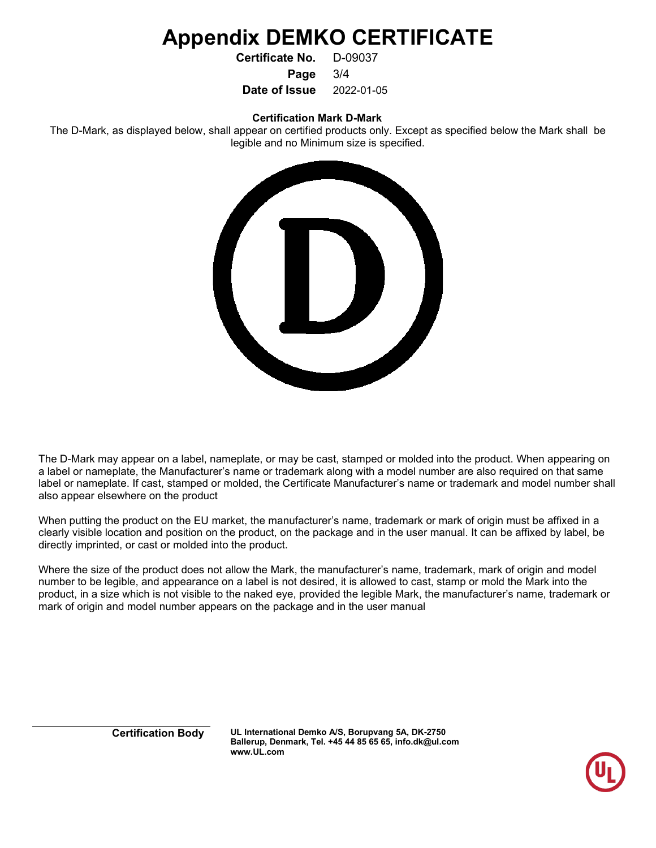## **Appendix DEMKO CERTIFICATE**

**Certificate No.** D-09037

**Page** 3/4

**Date of Issue** 2022-01-05

**Certification Mark D-Mark**

The D-Mark, as displayed below, shall appear on certified products only. Except as specified below the Mark shall be legible and no Minimum size is specified.



The D-Mark may appear on a label, nameplate, or may be cast, stamped or molded into the product. When appearing on a label or nameplate, the Manufacturer's name or trademark along with a model number are also required on that same label or nameplate. If cast, stamped or molded, the Certificate Manufacturer's name or trademark and model number shall also appear elsewhere on the product

When putting the product on the EU market, the manufacturer's name, trademark or mark of origin must be affixed in a clearly visible location and position on the product, on the package and in the user manual. It can be affixed by label, be directly imprinted, or cast or molded into the product.

Where the size of the product does not allow the Mark, the manufacturer's name, trademark, mark of origin and model number to be legible, and appearance on a label is not desired, it is allowed to cast, stamp or mold the Mark into the product, in a size which is not visible to the naked eye, provided the legible Mark, the manufacturer's name, trademark or mark of origin and model number appears on the package and in the user manual